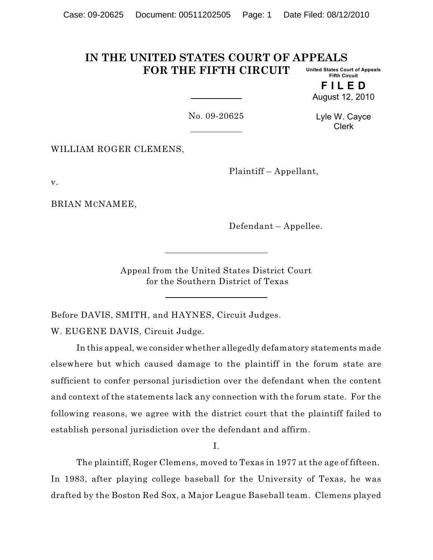#### **IN THE UNITED STATES COURT OF APPEALS FOR THE FIFTH CIRCUIT United States Court of Appeals Fifth Circuit**

**F I L E D** August 12, 2010

No. 09-20625

Lyle W. Cayce Clerk

WILLIAM ROGER CLEMENS,

Plaintiff – Appellant,

v.

BRIAN MCNAMEE,

Defendant – Appellee.

Appeal from the United States District Court for the Southern District of Texas

Before DAVIS, SMITH, and HAYNES, Circuit Judges. W. EUGENE DAVIS, Circuit Judge.

In this appeal, we consider whether allegedly defamatory statements made elsewhere but which caused damage to the plaintiff in the forum state are sufficient to confer personal jurisdiction over the defendant when the content and context of the statements lack any connection with the forum state. For the following reasons, we agree with the district court that the plaintiff failed to establish personal jurisdiction over the defendant and affirm.

I.

The plaintiff, Roger Clemens, moved to Texas in 1977 at the age of fifteen. In 1983, after playing college baseball for the University of Texas, he was drafted by the Boston Red Sox, a Major League Baseball team. Clemens played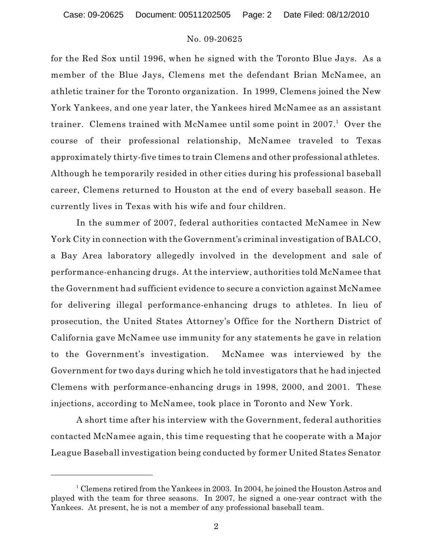Case: 09-20625 Document: 00511202505 Page: 2 Date Filed: 08/12/2010

# No. 09-20625

for the Red Sox until 1996, when he signed with the Toronto Blue Jays. As a member of the Blue Jays, Clemens met the defendant Brian McNamee, an athletic trainer for the Toronto organization. In 1999, Clemens joined the New York Yankees, and one year later, the Yankees hired McNamee as an assistant trainer. Clemens trained with McNamee until some point in 2007.<sup>1</sup> Over the course of their professional relationship, McNamee traveled to Texas approximately thirty-five times to train Clemens and other professional athletes. Although he temporarily resided in other cities during his professional baseball career, Clemens returned to Houston at the end of every baseball season. He currently lives in Texas with his wife and four children.

In the summer of 2007, federal authorities contacted McNamee in New York City in connection with the Government's criminal investigation of BALCO, a Bay Area laboratory allegedly involved in the development and sale of performance-enhancing drugs. At the interview, authorities told McNamee that the Government had sufficient evidence to secure a conviction against McNamee for delivering illegal performance-enhancing drugs to athletes. In lieu of prosecution, the United States Attorney's Office for the Northern District of California gave McNamee use immunity for any statements he gave in relation to the Government's investigation. McNamee was interviewed by the Government for two days during which he told investigators that he had injected Clemens with performance-enhancing drugs in 1998, 2000, and 2001. These injections, according to McNamee, took place in Toronto and New York.

A short time after his interview with the Government, federal authorities contacted McNamee again, this time requesting that he cooperate with a Major League Baseball investigation being conducted by former United States Senator

<sup>&</sup>lt;sup>1</sup> Clemens retired from the Yankees in 2003. In 2004, he joined the Houston Astros and played with the team for three seasons. In 2007, he signed a one-year contract with the Yankees. At present, he is not a member of any professional baseball team.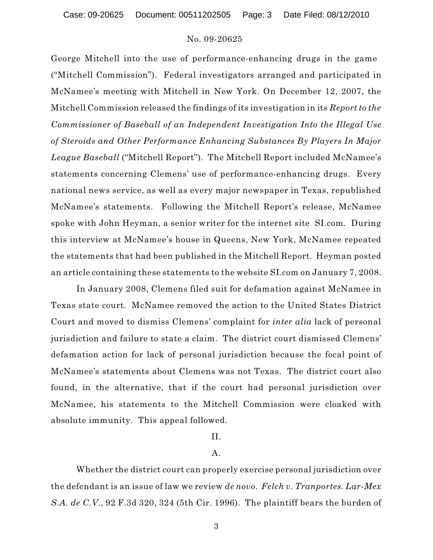Case: 09-20625 Document: 00511202505 Page: 3 Date Filed: 08/12/2010

# No. 09-20625

George Mitchell into the use of performance-enhancing drugs in the game ("Mitchell Commission"). Federal investigators arranged and participated in McNamee's meeting with Mitchell in New York. On December 12, 2007, the Mitchell Commission released the findings of its investigation in its *Report to the Commissioner of Baseball of an Independent Investigation Into the Illegal Use of Steroids and Other Performance Enhancing Substances By Players In Major League Baseball* ("Mitchell Report"). The Mitchell Report included McNamee's statements concerning Clemens' use of performance-enhancing drugs. Every national news service, as well as every major newspaper in Texas, republished McNamee's statements. Following the Mitchell Report's release, McNamee spoke with John Heyman, a senior writer for the internet site SI.com. During this interview at McNamee's house in Queens, New York, McNamee repeated the statements that had been published in the Mitchell Report. Heyman posted an article containing these statements to the website SI.com on January 7, 2008.

In January 2008, Clemens filed suit for defamation against McNamee in Texas state court. McNamee removed the action to the United States District Court and moved to dismiss Clemens' complaint for *inter alia* lack of personal jurisdiction and failure to state a claim. The district court dismissed Clemens' defamation action for lack of personal jurisdiction because the focal point of McNamee's statements about Clemens was not Texas. The district court also found, in the alternative, that if the court had personal jurisdiction over McNamee, his statements to the Mitchell Commission were cloaked with absolute immunity. This appeal followed.

# II.

# A.

Whether the district court can properly exercise personal jurisdiction over the defendant is an issue of law we review *de novo*. *Felch v. Tranportes. Lar-Mex S.A. de C.V.*, 92 F.3d 320, 324 (5th Cir. 1996). The plaintiff bears the burden of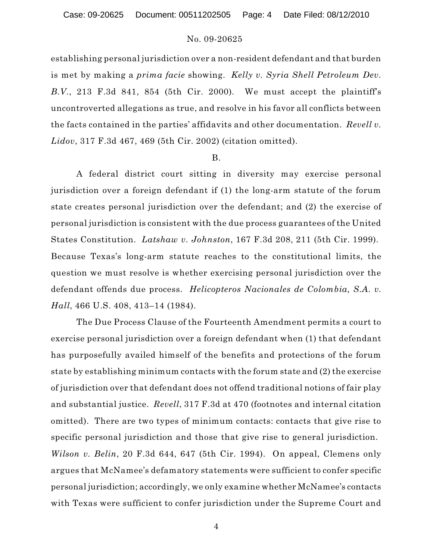establishing personal jurisdiction over a non-resident defendant and that burden is met by making a *prima facie* showing. *Kelly v. Syria Shell Petroleum Dev. B.V.*, 213 F.3d 841, 854 (5th Cir. 2000). We must accept the plaintiff's uncontroverted allegations as true, and resolve in his favor all conflicts between the facts contained in the parties' affidavits and other documentation. *Revell v. Lidov*, 317 F.3d 467, 469 (5th Cir. 2002) (citation omitted).

#### B.

A federal district court sitting in diversity may exercise personal jurisdiction over a foreign defendant if (1) the long-arm statute of the forum state creates personal jurisdiction over the defendant; and (2) the exercise of personal jurisdiction is consistent with the due process guarantees of the United States Constitution. *Latshaw v. Johnston*, 167 F.3d 208, 211 (5th Cir. 1999). Because Texas's long-arm statute reaches to the constitutional limits, the question we must resolve is whether exercising personal jurisdiction over the defendant offends due process. *Helicopteros Nacionales de Colombia, S.A. v. Hall*, 466 U.S. 408, 413–14 (1984).

The Due Process Clause of the Fourteenth Amendment permits a court to exercise personal jurisdiction over a foreign defendant when (1) that defendant has purposefully availed himself of the benefits and protections of the forum state by establishing minimum contacts with the forum state and (2) the exercise of jurisdiction over that defendant does not offend traditional notions of fair play and substantial justice. *Revell*, 317 F.3d at 470 (footnotes and internal citation omitted). There are two types of minimum contacts: contacts that give rise to specific personal jurisdiction and those that give rise to general jurisdiction. *Wilson v. Belin*, 20 F.3d 644, 647 (5th Cir. 1994). On appeal, Clemens only argues that McNamee's defamatory statements were sufficient to confer specific personal jurisdiction; accordingly, we only examine whether McNamee's contacts with Texas were sufficient to confer jurisdiction under the Supreme Court and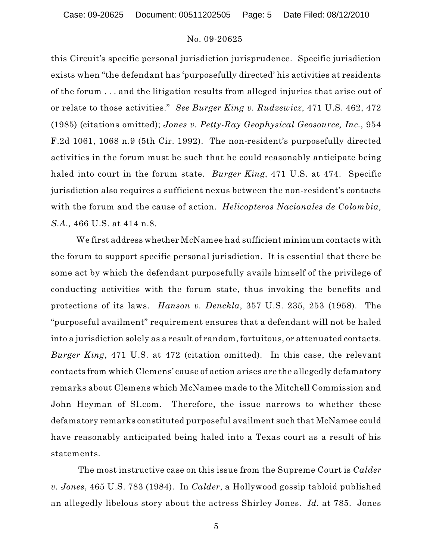Case: 09-20625 Document: 00511202505 Page: 5 Date Filed: 08/12/2010

# No. 09-20625

this Circuit's specific personal jurisdiction jurisprudence. Specific jurisdiction exists when "the defendant has 'purposefully directed' his activities at residents of the forum . . . and the litigation results from alleged injuries that arise out of or relate to those activities." *See Burger King v. Rudzewicz*, 471 U.S. 462, 472 (1985) (citations omitted); *Jones v. Petty-Ray Geophysical Geosource, Inc.*, 954 F.2d 1061, 1068 n.9 (5th Cir. 1992). The non-resident's purposefully directed activities in the forum must be such that he could reasonably anticipate being haled into court in the forum state. *Burger King*, 471 U.S. at 474. Specific jurisdiction also requires a sufficient nexus between the non-resident's contacts with the forum and the cause of action. *Helicopteros Nacionales de Colombia, S.A.,* 466 U.S. at 414 n.8.

We first address whether McNamee had sufficient minimum contacts with the forum to support specific personal jurisdiction. It is essential that there be some act by which the defendant purposefully avails himself of the privilege of conducting activities with the forum state, thus invoking the benefits and protections of its laws. *Hanson v. Denckla*, 357 U.S. 235, 253 (1958). The "purposeful availment" requirement ensures that a defendant will not be haled into a jurisdiction solely as a result of random, fortuitous, or attenuated contacts. *Burger King*, 471 U.S. at 472 (citation omitted). In this case, the relevant contacts from which Clemens' cause of action arises are the allegedly defamatory remarks about Clemens which McNamee made to the Mitchell Commission and John Heyman of SI.com. Therefore, the issue narrows to whether these defamatory remarks constituted purposeful availment such that McNamee could have reasonably anticipated being haled into a Texas court as a result of his statements.

The most instructive case on this issue from the Supreme Court is *Calder v. Jones*, 465 U.S. 783 (1984). In *Calder*, a Hollywood gossip tabloid published an allegedly libelous story about the actress Shirley Jones. *Id.* at 785. Jones

5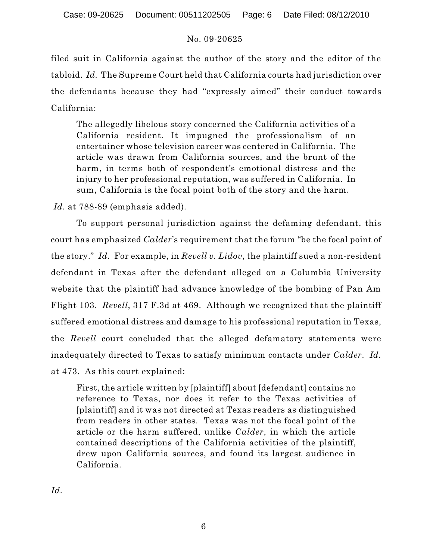filed suit in California against the author of the story and the editor of the tabloid. *Id.* The Supreme Court held that California courts had jurisdiction over the defendants because they had "expressly aimed" their conduct towards California:

The allegedly libelous story concerned the California activities of a California resident. It impugned the professionalism of an entertainer whose television career was centered in California. The article was drawn from California sources, and the brunt of the harm, in terms both of respondent's emotional distress and the injury to her professional reputation, was suffered in California. In sum, California is the focal point both of the story and the harm.

*Id.* at 788-89 (emphasis added).

To support personal jurisdiction against the defaming defendant, this court has emphasized *Calder*'s requirement that the forum "be the focal point of the story." *Id.* For example, in *Revell v. Lidov*, the plaintiff sued a non-resident defendant in Texas after the defendant alleged on a Columbia University website that the plaintiff had advance knowledge of the bombing of Pan Am Flight 103. *Revell*, 317 F.3d at 469. Although we recognized that the plaintiff suffered emotional distress and damage to his professional reputation in Texas, the *Revell* court concluded that the alleged defamatory statements were inadequately directed to Texas to satisfy minimum contacts under *Calder*. *Id.* at 473. As this court explained:

First, the article written by [plaintiff] about [defendant] contains no reference to Texas, nor does it refer to the Texas activities of [plaintiff] and it was not directed at Texas readers as distinguished from readers in other states. Texas was not the focal point of the article or the harm suffered, unlike *Calder*, in which the article contained descriptions of the California activities of the plaintiff, drew upon California sources, and found its largest audience in California.

*Id.*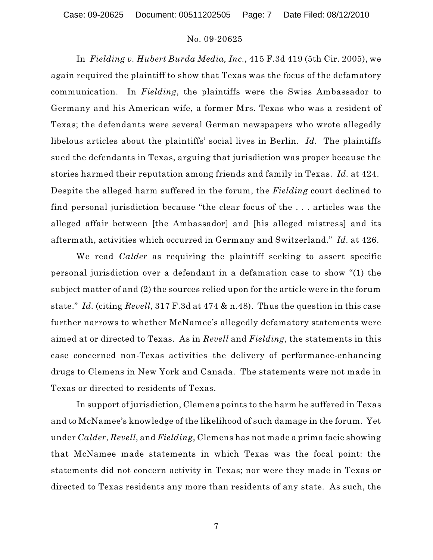In *Fielding v. Hubert Burda Media, Inc.*, 415 F.3d 419 (5th Cir. 2005), we again required the plaintiff to show that Texas was the focus of the defamatory communication. In *Fielding*, the plaintiffs were the Swiss Ambassador to Germany and his American wife, a former Mrs. Texas who was a resident of Texas; the defendants were several German newspapers who wrote allegedly libelous articles about the plaintiffs' social lives in Berlin. *Id.* The plaintiffs sued the defendants in Texas, arguing that jurisdiction was proper because the stories harmed their reputation among friends and family in Texas. *Id.* at 424. Despite the alleged harm suffered in the forum, the *Fielding* court declined to find personal jurisdiction because "the clear focus of the . . . articles was the alleged affair between [the Ambassador] and [his alleged mistress] and its aftermath, activities which occurred in Germany and Switzerland." *Id.* at 426.

We read *Calder* as requiring the plaintiff seeking to assert specific personal jurisdiction over a defendant in a defamation case to show "(1) the subject matter of and (2) the sources relied upon for the article were in the forum state." *Id.* (citing *Revell*, 317 F.3d at 474 & n.48). Thus the question in this case further narrows to whether McNamee's allegedly defamatory statements were aimed at or directed to Texas. As in *Revell* and *Fielding*, the statements in this case concerned non-Texas activities–the delivery of performance-enhancing drugs to Clemens in New York and Canada. The statements were not made in Texas or directed to residents of Texas.

In support of jurisdiction, Clemens points to the harm he suffered in Texas and to McNamee's knowledge of the likelihood of such damage in the forum. Yet under *Calder*, *Revell*, and *Fielding*, Clemens has not made a prima facie showing that McNamee made statements in which Texas was the focal point: the statements did not concern activity in Texas; nor were they made in Texas or directed to Texas residents any more than residents of any state. As such, the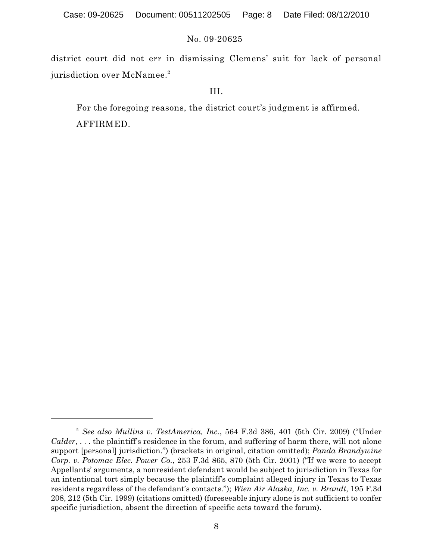district court did not err in dismissing Clemens' suit for lack of personal jurisdiction over  $\rm{McNamee.}^2$ 

# III.

For the foregoing reasons, the district court's judgment is affirmed. AFFIRMED.

<sup>&</sup>lt;sup>2</sup> See also Mullins v. TestAmerica, Inc., 564 F.3d 386, 401 (5th Cir. 2009) ("Under *Calder*, . . . the plaintiff's residence in the forum, and suffering of harm there, will not alone support [personal] jurisdiction.") (brackets in original, citation omitted); *Panda Brandywine Corp. v. Potomac Elec. Power Co.*, 253 F.3d 865, 870 (5th Cir. 2001) ("If we were to accept Appellants' arguments, a nonresident defendant would be subject to jurisdiction in Texas for an intentional tort simply because the plaintiff's complaint alleged injury in Texas to Texas residents regardless of the defendant's contacts."); *Wien Air Alaska, Inc. v. Brandt*, 195 F.3d 208, 212 (5th Cir. 1999) (citations omitted) (foreseeable injury alone is not sufficient to confer specific jurisdiction, absent the direction of specific acts toward the forum).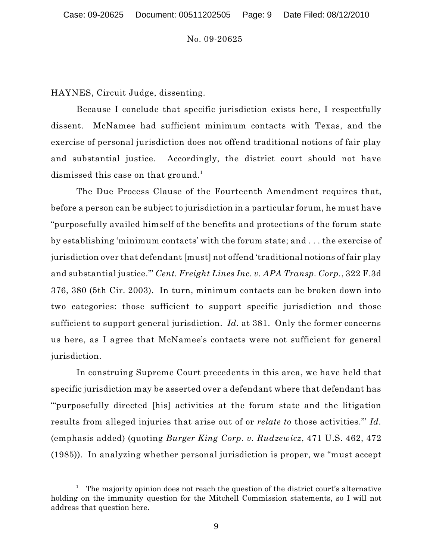HAYNES, Circuit Judge, dissenting.

Because I conclude that specific jurisdiction exists here, I respectfully dissent. McNamee had sufficient minimum contacts with Texas, and the exercise of personal jurisdiction does not offend traditional notions of fair play and substantial justice. Accordingly, the district court should not have dismissed this case on that ground. 1

The Due Process Clause of the Fourteenth Amendment requires that, before a person can be subject to jurisdiction in a particular forum, he must have "purposefully availed himself of the benefits and protections of the forum state by establishing 'minimum contacts' with the forum state; and . . . the exercise of jurisdiction over that defendant [must] not offend 'traditional notions of fair play and substantial justice.'" *Cent. Freight Lines Inc. v. APA Transp. Corp.*, 322 F.3d 376, 380 (5th Cir. 2003). In turn, minimum contacts can be broken down into two categories: those sufficient to support specific jurisdiction and those sufficient to support general jurisdiction. *Id.* at 381. Only the former concerns us here, as I agree that McNamee's contacts were not sufficient for general jurisdiction.

In construing Supreme Court precedents in this area, we have held that specific jurisdiction may be asserted over a defendant where that defendant has "'purposefully directed [his] activities at the forum state and the litigation results from alleged injuries that arise out of or *relate to* those activities.'" *Id.* (emphasis added) (quoting *Burger King Corp. v. Rudzewicz*, 471 U.S. 462, 472 (1985)). In analyzing whether personal jurisdiction is proper, we "must accept

 $^1$  The majority opinion does not reach the question of the district court's alternative holding on the immunity question for the Mitchell Commission statements, so I will not address that question here.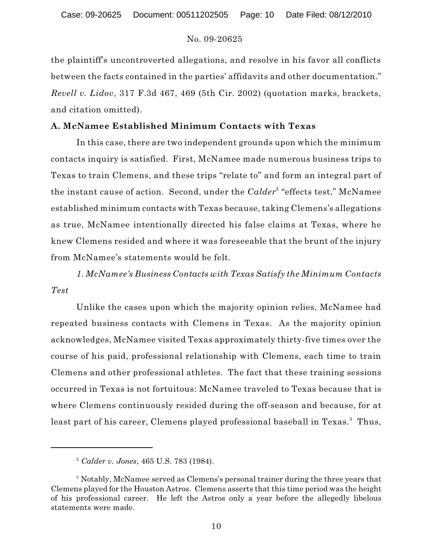the plaintiff's uncontroverted allegations, and resolve in his favor all conflicts between the facts contained in the parties' affidavits and other documentation." *Revell v. Lidov*, 317 F.3d 467, 469 (5th Cir. 2002) (quotation marks, brackets, and citation omitted).

# **A. McNamee Established Minimum Contacts with Texas**

In this case, there are two independent grounds upon which the minimum contacts inquiry is satisfied. First, McNamee made numerous business trips to Texas to train Clemens, and these trips "relate to" and form an integral part of the instant cause of action. Second, under the *Calder<sup>2</sup> "effects test*," McNamee established minimum contacts with Texas because, taking Clemens's allegations as true, McNamee intentionally directed his false claims at Texas, where he knew Clemens resided and where it was foreseeable that the brunt of the injury from McNamee's statements would be felt.

*1. McNamee's Business Contacts with Texas Satisfy the Minimum Contacts Test*

Unlike the cases upon which the majority opinion relies, McNamee had repeated business contacts with Clemens in Texas. As the majority opinion acknowledges, McNamee visited Texas approximately thirty-five times over the course of his paid, professional relationship with Clemens, each time to train Clemens and other professional athletes. The fact that these training sessions occurred in Texas is not fortuitous: McNamee traveled to Texas because that is where Clemens continuously resided during the off-season and because, for at least part of his career, Clemens played professional baseball in Texas.<sup>3</sup> Thus,

*Calder v. Jones*, 465 U.S. 783 (1984). 2

<sup>&</sup>lt;sup>3</sup> Notably, McNamee served as Clemens's personal trainer during the three years that Clemens played for the Houston Astros. Clemens asserts that this time period was the height of his professional career. He left the Astros only a year before the allegedly libelous statements were made.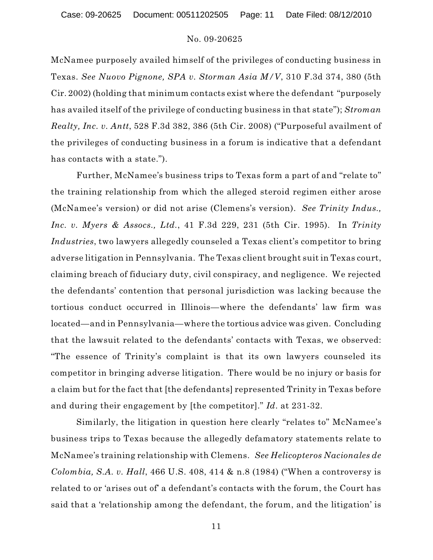McNamee purposely availed himself of the privileges of conducting business in Texas. *See Nuovo Pignone, SPA v. Storman Asia M/V*, 310 F.3d 374, 380 (5th Cir. 2002) (holding that minimum contacts exist where the defendant "purposely has availed itself of the privilege of conducting business in that state"); *Stroman Realty, Inc. v. Antt*, 528 F.3d 382, 386 (5th Cir. 2008) ("Purposeful availment of the privileges of conducting business in a forum is indicative that a defendant has contacts with a state.").

Further, McNamee's business trips to Texas form a part of and "relate to" the training relationship from which the alleged steroid regimen either arose (McNamee's version) or did not arise (Clemens's version). *See Trinity Indus., Inc. v. Myers & Assocs., Ltd.*, 41 F.3d 229, 231 (5th Cir. 1995). In *Trinity Industries*, two lawyers allegedly counseled a Texas client's competitor to bring adverse litigation in Pennsylvania. The Texas client brought suit in Texas court, claiming breach of fiduciary duty, civil conspiracy, and negligence. We rejected the defendants' contention that personal jurisdiction was lacking because the tortious conduct occurred in Illinois—where the defendants' law firm was located—and in Pennsylvania—where the tortious advice was given. Concluding that the lawsuit related to the defendants' contacts with Texas, we observed: "The essence of Trinity's complaint is that its own lawyers counseled its competitor in bringing adverse litigation. There would be no injury or basis for a claim but for the fact that [the defendants] represented Trinity in Texas before and during their engagement by [the competitor]." *Id*. at 231-32.

Similarly, the litigation in question here clearly "relates to" McNamee's business trips to Texas because the allegedly defamatory statements relate to McNamee's training relationship with Clemens. *See Helicopteros Nacionales de Colombia, S.A. v. Hall*, 466 U.S. 408, 414 & n.8 (1984) ("When a controversy is related to or 'arises out of' a defendant's contacts with the forum, the Court has said that a 'relationship among the defendant, the forum, and the litigation' is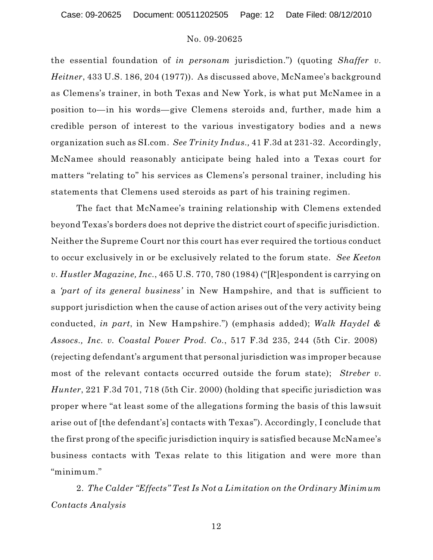Case: 09-20625 Document: 00511202505 Page: 12 Date Filed: 08/12/2010

### No. 09-20625

the essential foundation of *in personam* jurisdiction.") (quoting *Shaffer v. Heitner*, 433 U.S. 186, 204 (1977)). As discussed above, McNamee's background as Clemens's trainer, in both Texas and New York, is what put McNamee in a position to—in his words—give Clemens steroids and, further, made him a credible person of interest to the various investigatory bodies and a news organization such as SI.com. *See Trinity Indus.,* 41 F.3d at 231-32. Accordingly, McNamee should reasonably anticipate being haled into a Texas court for matters "relating to" his services as Clemens's personal trainer, including his statements that Clemens used steroids as part of his training regimen.

The fact that McNamee's training relationship with Clemens extended beyond Texas's borders does not deprive the district court of specific jurisdiction. Neither the Supreme Court nor this court has ever required the tortious conduct to occur exclusively in or be exclusively related to the forum state. *See Keeton v. Hustler Magazine, Inc.*, 465 U.S. 770, 780 (1984) ("[R]espondent is carrying on a *'part of its general business'* in New Hampshire, and that is sufficient to support jurisdiction when the cause of action arises out of the very activity being conducted, *in part*, in New Hampshire.") (emphasis added); *Walk Haydel & Assocs., Inc. v. Coastal Power Prod. Co.*, 517 F.3d 235, 244 (5th Cir. 2008) (rejecting defendant's argument that personal jurisdiction was improper because most of the relevant contacts occurred outside the forum state); *Streber v. Hunter*, 221 F.3d 701, 718 (5th Cir. 2000) (holding that specific jurisdiction was proper where "at least some of the allegations forming the basis of this lawsuit arise out of [the defendant's] contacts with Texas"). Accordingly, I conclude that the first prong of the specific jurisdiction inquiry is satisfied because McNamee's business contacts with Texas relate to this litigation and were more than "minimum."

2. *The Calder "Effects" Test Is Not a Limitation on the Ordinary Minimum Contacts Analysis*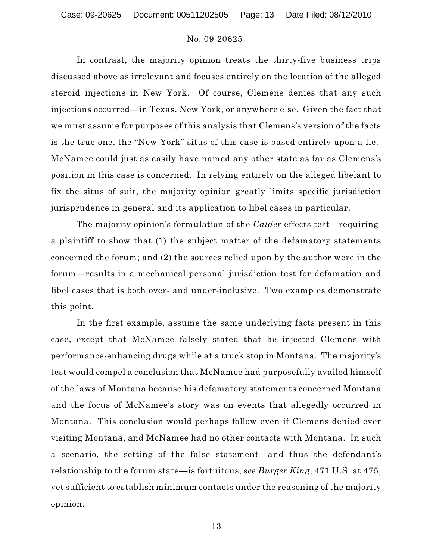In contrast, the majority opinion treats the thirty-five business trips discussed above as irrelevant and focuses entirely on the location of the alleged steroid injections in New York. Of course, Clemens denies that any such injections occurred—in Texas, New York, or anywhere else. Given the fact that we must assume for purposes of this analysis that Clemens's version of the facts is the true one, the "New York" situs of this case is based entirely upon a lie. McNamee could just as easily have named any other state as far as Clemens's position in this case is concerned. In relying entirely on the alleged libelant to fix the situs of suit, the majority opinion greatly limits specific jurisdiction jurisprudence in general and its application to libel cases in particular.

The majority opinion's formulation of the *Calder* effects test—requiring a plaintiff to show that (1) the subject matter of the defamatory statements concerned the forum; and (2) the sources relied upon by the author were in the forum—results in a mechanical personal jurisdiction test for defamation and libel cases that is both over- and under-inclusive. Two examples demonstrate this point.

In the first example, assume the same underlying facts present in this case, except that McNamee falsely stated that he injected Clemens with performance-enhancing drugs while at a truck stop in Montana. The majority's test would compel a conclusion that McNamee had purposefully availed himself of the laws of Montana because his defamatory statements concerned Montana and the focus of McNamee's story was on events that allegedly occurred in Montana. This conclusion would perhaps follow even if Clemens denied ever visiting Montana, and McNamee had no other contacts with Montana. In such a scenario, the setting of the false statement—and thus the defendant's relationship to the forum state—is fortuitous, *see Burger King*, 471 U.S. at 475, yet sufficient to establish minimum contacts under the reasoning of the majority opinion.

13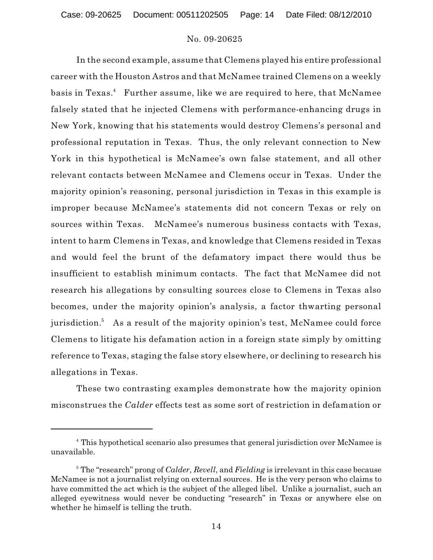In the second example, assume that Clemens played his entire professional career with the Houston Astros and that McNamee trained Clemens on a weekly basis in Texas. $^4$  Further assume, like we are required to here, that McNamee falsely stated that he injected Clemens with performance-enhancing drugs in New York, knowing that his statements would destroy Clemens's personal and professional reputation in Texas. Thus, the only relevant connection to New York in this hypothetical is McNamee's own false statement, and all other relevant contacts between McNamee and Clemens occur in Texas. Under the majority opinion's reasoning, personal jurisdiction in Texas in this example is improper because McNamee's statements did not concern Texas or rely on sources within Texas. McNamee's numerous business contacts with Texas, intent to harm Clemens in Texas, and knowledge that Clemens resided in Texas and would feel the brunt of the defamatory impact there would thus be insufficient to establish minimum contacts. The fact that McNamee did not research his allegations by consulting sources close to Clemens in Texas also becomes, under the majority opinion's analysis, a factor thwarting personal jurisdiction.<sup>5</sup> As a result of the majority opinion's test, McNamee could force Clemens to litigate his defamation action in a foreign state simply by omitting reference to Texas, staging the false story elsewhere, or declining to research his allegations in Texas.

These two contrasting examples demonstrate how the majority opinion misconstrues the *Calder* effects test as some sort of restriction in defamation or

<sup>&</sup>lt;sup>4</sup> This hypothetical scenario also presumes that general jurisdiction over McNamee is unavailable.

<sup>&</sup>lt;sup>5</sup> The "research" prong of *Calder*, *Revell*, and *Fielding* is irrelevant in this case because McNamee is not a journalist relying on external sources. He is the very person who claims to have committed the act which is the subject of the alleged libel. Unlike a journalist, such an alleged eyewitness would never be conducting "research" in Texas or anywhere else on whether he himself is telling the truth.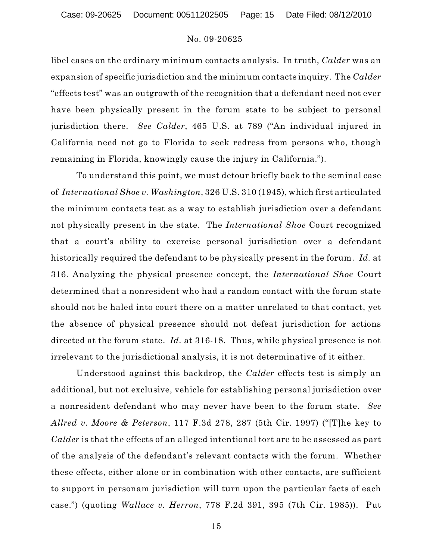libel cases on the ordinary minimum contacts analysis. In truth, *Calder* was an expansion of specific jurisdiction and the minimum contacts inquiry. The *Calder* "effects test" was an outgrowth of the recognition that a defendant need not ever have been physically present in the forum state to be subject to personal jurisdiction there. *See Calder*, 465 U.S. at 789 ("An individual injured in California need not go to Florida to seek redress from persons who, though remaining in Florida, knowingly cause the injury in California.").

To understand this point, we must detour briefly back to the seminal case of *International Shoe v. Washington*, 326 U.S. 310 (1945), which first articulated the minimum contacts test as a way to establish jurisdiction over a defendant not physically present in the state. The *International Shoe* Court recognized that a court's ability to exercise personal jurisdiction over a defendant historically required the defendant to be physically present in the forum. *Id.* at 316. Analyzing the physical presence concept, the *International Shoe* Court determined that a nonresident who had a random contact with the forum state should not be haled into court there on a matter unrelated to that contact, yet the absence of physical presence should not defeat jurisdiction for actions directed at the forum state. *Id.* at 316-18. Thus, while physical presence is not irrelevant to the jurisdictional analysis, it is not determinative of it either.

Understood against this backdrop, the *Calder* effects test is simply an additional, but not exclusive, vehicle for establishing personal jurisdiction over a nonresident defendant who may never have been to the forum state. *See Allred v. Moore & Peterson*, 117 F.3d 278, 287 (5th Cir. 1997) ("[T]he key to *Calder* is that the effects of an alleged intentional tort are to be assessed as part of the analysis of the defendant's relevant contacts with the forum. Whether these effects, either alone or in combination with other contacts, are sufficient to support in personam jurisdiction will turn upon the particular facts of each case.") (quoting *Wallace v. Herron*, 778 F.2d 391, 395 (7th Cir. 1985)). Put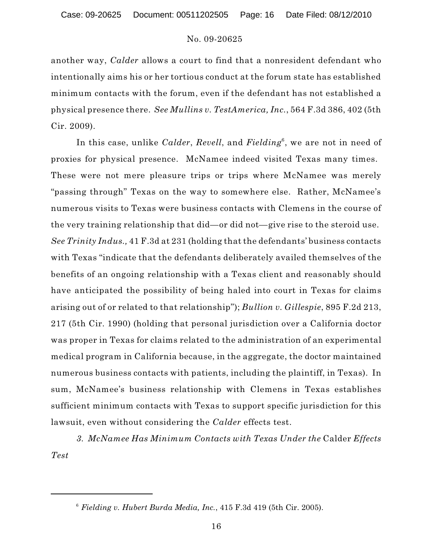another way, *Calder* allows a court to find that a nonresident defendant who intentionally aims his or her tortious conduct at the forum state has established minimum contacts with the forum, even if the defendant has not established a physical presence there. *See Mullins v. TestAmerica, Inc.*, 564 F.3d 386, 402 (5th Cir. 2009).

In this case, unlike *Calder*, *Revell*, and *Fielding*<sup>6</sup>, we are not in need of proxies for physical presence. McNamee indeed visited Texas many times. These were not mere pleasure trips or trips where McNamee was merely "passing through" Texas on the way to somewhere else. Rather, McNamee's numerous visits to Texas were business contacts with Clemens in the course of the very training relationship that did—or did not—give rise to the steroid use. *See Trinity Indus.,* 41 F.3d at 231 (holding that the defendants' business contacts with Texas "indicate that the defendants deliberately availed themselves of the benefits of an ongoing relationship with a Texas client and reasonably should have anticipated the possibility of being haled into court in Texas for claims arising out of or related to that relationship"); *Bullion v. Gillespie*, 895 F.2d 213, 217 (5th Cir. 1990) (holding that personal jurisdiction over a California doctor was proper in Texas for claims related to the administration of an experimental medical program in California because, in the aggregate, the doctor maintained numerous business contacts with patients, including the plaintiff, in Texas). In sum, McNamee's business relationship with Clemens in Texas establishes sufficient minimum contacts with Texas to support specific jurisdiction for this lawsuit, even without considering the *Calder* effects test.

*3. McNamee Has Minimum Contacts with Texas Under the* Calder *Effects Test*

 $6$  Fielding v. Hubert Burda Media, Inc., 415 F.3d 419 (5th Cir. 2005).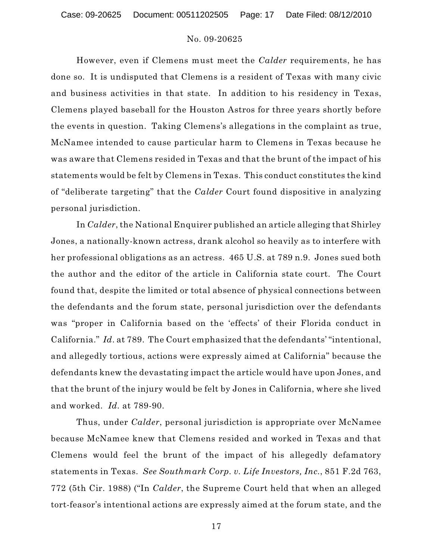However, even if Clemens must meet the *Calder* requirements, he has done so. It is undisputed that Clemens is a resident of Texas with many civic and business activities in that state. In addition to his residency in Texas, Clemens played baseball for the Houston Astros for three years shortly before the events in question. Taking Clemens's allegations in the complaint as true, McNamee intended to cause particular harm to Clemens in Texas because he was aware that Clemens resided in Texas and that the brunt of the impact of his statements would be felt by Clemens in Texas. This conduct constitutes the kind of "deliberate targeting" that the *Calder* Court found dispositive in analyzing personal jurisdiction.

In *Calder*, the National Enquirer published an article alleging that Shirley Jones, a nationally-known actress, drank alcohol so heavily as to interfere with her professional obligations as an actress. 465 U.S. at 789 n.9. Jones sued both the author and the editor of the article in California state court. The Court found that, despite the limited or total absence of physical connections between the defendants and the forum state, personal jurisdiction over the defendants was "proper in California based on the 'effects' of their Florida conduct in California." *Id*. at 789. The Court emphasized that the defendants' "intentional, and allegedly tortious, actions were expressly aimed at California" because the defendants knew the devastating impact the article would have upon Jones, and that the brunt of the injury would be felt by Jones in California, where she lived and worked. *Id.* at 789-90.

Thus, under *Calder*, personal jurisdiction is appropriate over McNamee because McNamee knew that Clemens resided and worked in Texas and that Clemens would feel the brunt of the impact of his allegedly defamatory statements in Texas. *See Southmark Corp. v. Life Investors, Inc.*, 851 F.2d 763, 772 (5th Cir. 1988) ("In *Calder*, the Supreme Court held that when an alleged tort-feasor's intentional actions are expressly aimed at the forum state, and the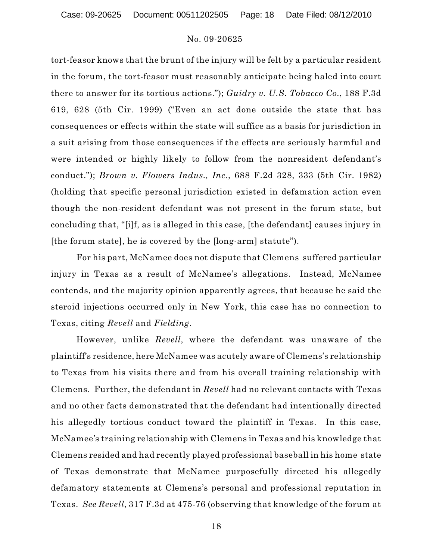tort-feasor knows that the brunt of the injury will be felt by a particular resident in the forum, the tort-feasor must reasonably anticipate being haled into court there to answer for its tortious actions."); *Guidry v. U.S. Tobacco Co.*, 188 F.3d 619, 628 (5th Cir. 1999) ("Even an act done outside the state that has consequences or effects within the state will suffice as a basis for jurisdiction in a suit arising from those consequences if the effects are seriously harmful and were intended or highly likely to follow from the nonresident defendant's conduct."); *Brown v. Flowers Indus., Inc.*, 688 F.2d 328, 333 (5th Cir. 1982) (holding that specific personal jurisdiction existed in defamation action even though the non-resident defendant was not present in the forum state, but concluding that, "[i]f, as is alleged in this case, [the defendant] causes injury in [the forum state], he is covered by the [long-arm] statute").

For his part, McNamee does not dispute that Clemens suffered particular injury in Texas as a result of McNamee's allegations. Instead, McNamee contends, and the majority opinion apparently agrees, that because he said the steroid injections occurred only in New York, this case has no connection to Texas, citing *Revell* and *Fielding*.

However, unlike *Revell*, where the defendant was unaware of the plaintiff's residence, here McNamee was acutely aware of Clemens's relationship to Texas from his visits there and from his overall training relationship with Clemens. Further, the defendant in *Revell* had no relevant contacts with Texas and no other facts demonstrated that the defendant had intentionally directed his allegedly tortious conduct toward the plaintiff in Texas. In this case, McNamee's training relationship with Clemens in Texas and his knowledge that Clemens resided and had recently played professional baseball in his home state of Texas demonstrate that McNamee purposefully directed his allegedly defamatory statements at Clemens's personal and professional reputation in Texas. *See Revell*, 317 F.3d at 475-76 (observing that knowledge of the forum at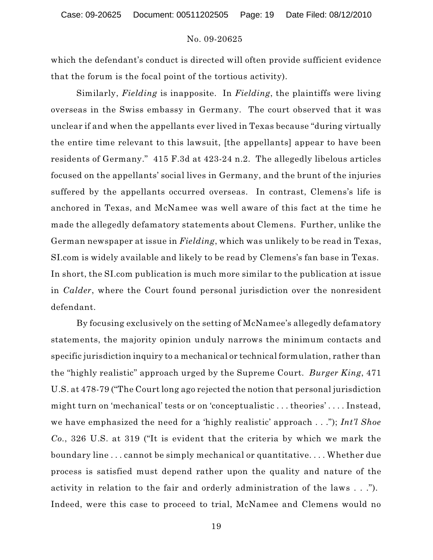which the defendant's conduct is directed will often provide sufficient evidence that the forum is the focal point of the tortious activity).

Similarly, *Fielding* is inapposite. In *Fielding*, the plaintiffs were living overseas in the Swiss embassy in Germany. The court observed that it was unclear if and when the appellants ever lived in Texas because "during virtually the entire time relevant to this lawsuit, [the appellants] appear to have been residents of Germany." 415 F.3d at 423-24 n.2. The allegedly libelous articles focused on the appellants' social lives in Germany, and the brunt of the injuries suffered by the appellants occurred overseas. In contrast, Clemens's life is anchored in Texas, and McNamee was well aware of this fact at the time he made the allegedly defamatory statements about Clemens. Further, unlike the German newspaper at issue in *Fielding*, which was unlikely to be read in Texas, SI.com is widely available and likely to be read by Clemens's fan base in Texas. In short, the SI.com publication is much more similar to the publication at issue in *Calder*, where the Court found personal jurisdiction over the nonresident defendant.

By focusing exclusively on the setting of McNamee's allegedly defamatory statements, the majority opinion unduly narrows the minimum contacts and specific jurisdiction inquiry to a mechanical or technical formulation, rather than the "highly realistic" approach urged by the Supreme Court. *Burger King*, 471 U.S. at 478-79 ("The Court long ago rejected the notion that personal jurisdiction might turn on 'mechanical' tests or on 'conceptualistic . . . theories' . . . . Instead, we have emphasized the need for a 'highly realistic' approach . . ."); *Int'l Shoe Co.*, 326 U.S. at 319 ("It is evident that the criteria by which we mark the boundary line . . . cannot be simply mechanical or quantitative. . . . Whether due process is satisfied must depend rather upon the quality and nature of the activity in relation to the fair and orderly administration of the laws . . ."). Indeed, were this case to proceed to trial, McNamee and Clemens would no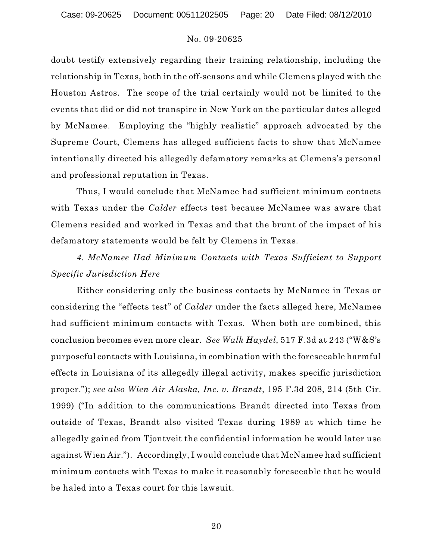doubt testify extensively regarding their training relationship, including the relationship in Texas, both in the off-seasons and while Clemens played with the Houston Astros. The scope of the trial certainly would not be limited to the events that did or did not transpire in New York on the particular dates alleged by McNamee. Employing the "highly realistic" approach advocated by the Supreme Court, Clemens has alleged sufficient facts to show that McNamee intentionally directed his allegedly defamatory remarks at Clemens's personal and professional reputation in Texas.

Thus, I would conclude that McNamee had sufficient minimum contacts with Texas under the *Calder* effects test because McNamee was aware that Clemens resided and worked in Texas and that the brunt of the impact of his defamatory statements would be felt by Clemens in Texas.

*4. McNamee Had Minimum Contacts with Texas Sufficient to Support Specific Jurisdiction Here*

Either considering only the business contacts by McNamee in Texas or considering the "effects test" of *Calder* under the facts alleged here, McNamee had sufficient minimum contacts with Texas. When both are combined, this conclusion becomes even more clear. *See Walk Haydel*, 517 F.3d at 243 ("W&S's purposeful contacts with Louisiana, in combination with the foreseeable harmful effects in Louisiana of its allegedly illegal activity, makes specific jurisdiction proper."); *see also Wien Air Alaska, Inc. v. Brandt*, 195 F.3d 208, 214 (5th Cir. 1999) ("In addition to the communications Brandt directed into Texas from outside of Texas, Brandt also visited Texas during 1989 at which time he allegedly gained from Tjontveit the confidential information he would later use against Wien Air."). Accordingly, I would conclude that McNamee had sufficient minimum contacts with Texas to make it reasonably foreseeable that he would be haled into a Texas court for this lawsuit.